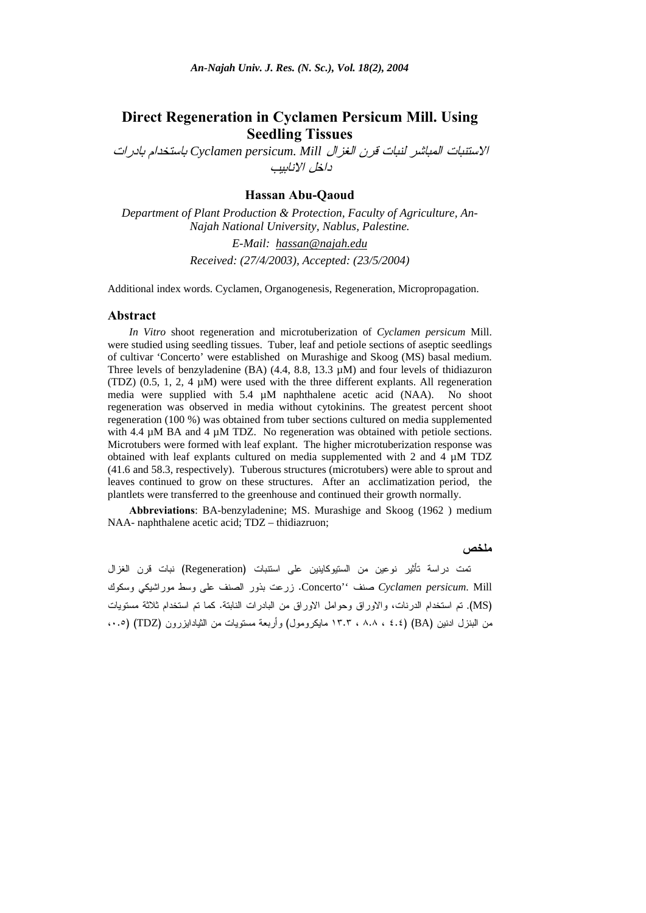# **Direct Regeneration in Cyclamen Persicum Mill. Using Seedling Tissues**

الاستنبات المباشر لنبات قرن الغزال *Mill .persicum Cyclamen* باستخدام بادرات داخل الانابيب

## **Hassan Abu-Qaoud**

*Department of Plant Production & Protection, Faculty of Agriculture, An-Najah National University, Nablus, Palestine. E-Mail: hassan@najah.edu*

*Received: (27/4/2003), Accepted: (23/5/2004)* 

Additional index words. Cyclamen, Organogenesis, Regeneration, Micropropagation.

#### **Abstract**

*In Vitro* shoot regeneration and microtuberization of *Cyclamen persicum* Mill. were studied using seedling tissues. Tuber, leaf and petiole sections of aseptic seedlings of cultivar 'Concerto' were established on Murashige and Skoog (MS) basal medium. Three levels of benzyladenine (BA) (4.4, 8.8, 13.3 µM) and four levels of thidiazuron (TDZ)  $(0.5, 1, 2, 4 \mu M)$  were used with the three different explants. All regeneration media were supplied with 5.4 µM naphthalene acetic acid (NAA). No shoot regeneration was observed in media without cytokinins. The greatest percent shoot regeneration (100 %) was obtained from tuber sections cultured on media supplemented with 4.4  $\mu$ M BA and 4  $\mu$ M TDZ. No regeneration was obtained with petiole sections. Microtubers were formed with leaf explant. The higher microtuberization response was obtained with leaf explants cultured on media supplemented with 2 and 4 µM TDZ (41.6 and 58.3, respectively). Tuberous structures (microtubers) were able to sprout and leaves continued to grow on these structures. After an acclimatization period, the plantlets were transferred to the greenhouse and continued their growth normally.

**Abbreviations**: BA-benzyladenine; MS. Murashige and Skoog (1962 ) medium NAA- naphthalene acetic acid; TDZ – thidiazruon;

#### **ملخص**

تمت دراسة تأثير نوعين من الستيوكاينين على استنبات (Regeneration (نبات قرن الغزال Mill .*persicum Cyclamen* صنف ''Concerto. زرعت بذور الصنف على وسط موراشيكي وسكوك (MS(. تم استخدام الدرنات، والاوراق وحوامل الاوراق من البادرات النابتة. كما تم استخدام ثلاثة مستويات من البنزل ادنين (BA) (٤.٤ ، ٨.٨ ، ١٣.٣ مايكرومول) وأربعة مستويات من الثيادايزرون (TDZ) (،٠.٥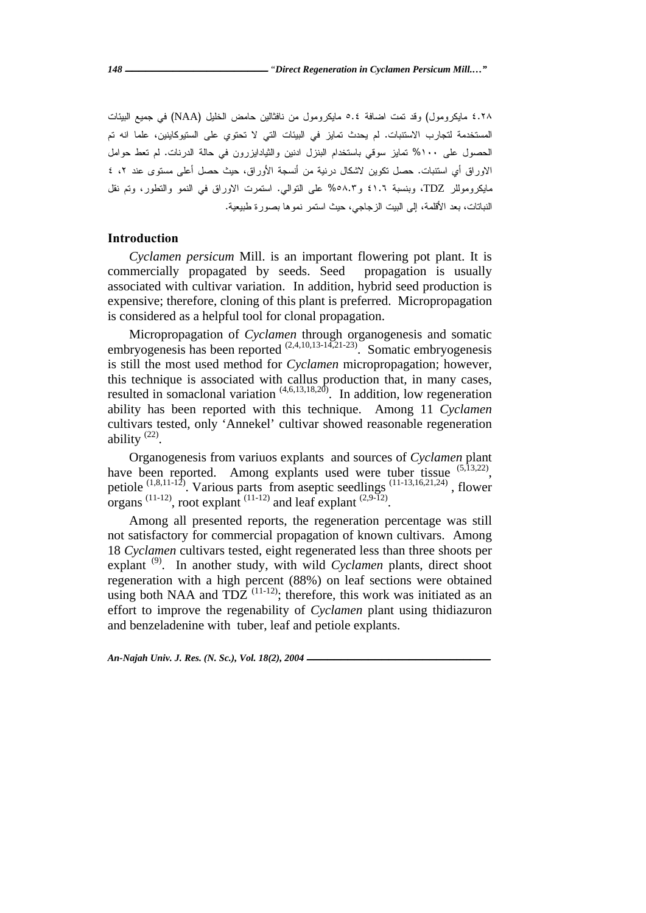٤.٢٨ مايكرومول) وقد تمت اضافة ٥.٤ مايكرومول من نافثالين حامض الخليل (NAA (في جميع البيئات المستخدمة لتجارب الاستنبات. لم يحدث تمايز في البيئات التي لا تحتوي على الستيوكاينين، علما انه تم الحصول على %١٠٠ تمايز سوقي باستخدام البنزل ادنين والثيادايزرون في حالة الدرنات. لم تعط حوامل الاوراق أي استنبات. حصل تكوين لاشكال درنية من أنسجة الأوراق، حيث حصل أعلى مستوى عند ،٢ ٤ مايكروموللر TDZ، وبنسبة ٤١.٦ و%٥٨.٣ على التوالي. استمرت الاوراق في النمو والتطور، وتم نقل النباتات، بعد الأقلمة، إلى البيت الزجاجي، حيث استمر نموها بصورة طبيعية.

## **Introduction**

*Cyclamen persicum* Mill. is an important flowering pot plant. It is commercially propagated by seeds. Seed propagation is usually associated with cultivar variation. In addition, hybrid seed production is expensive; therefore, cloning of this plant is preferred. Micropropagation is considered as a helpful tool for clonal propagation.

Micropropagation of *Cyclamen* through organogenesis and somatic embryogenesis has been reported  $(2,4,10,13-14,21-23)$ . Somatic embryogenesis is still the most used method for *Cyclamen* micropropagation; however, this technique is associated with callus production that, in many cases, resulted in somaclonal variation  $(4,6,13,18,20)$ . In addition, low regeneration ability has been reported with this technique. Among 11 *Cyclamen* cultivars tested, only 'Annekel' cultivar showed reasonable regeneration ability  $(22)$ .

Organogenesis from variuos explants and sources of *Cyclamen* plant have been reported. Among explants used were tuber tissue  $(5,13,22)$ , petiole (1,8,11-12). Various parts from aseptic seedlings (11-13,16,21,24) , flower organs  $(11-12)$ , root explant  $(11-12)$  and leaf explant  $(2,9-12)$ .

 Among all presented reports, the regeneration percentage was still not satisfactory for commercial propagation of known cultivars. Among 18 *Cyclamen* cultivars tested, eight regenerated less than three shoots per explant <sup>(9)</sup>. In another study, with wild *Cyclamen* plants, direct shoot regeneration with a high percent (88%) on leaf sections were obtained using both NAA and TDZ  $(11-12)$ ; therefore, this work was initiated as an effort to improve the regenability of *Cyclamen* plant using thidiazuron and benzeladenine with tuber, leaf and petiole explants.

*An-Najah Univ. J. Res. (N. Sc.), Vol. 18(2), 2004*  $-$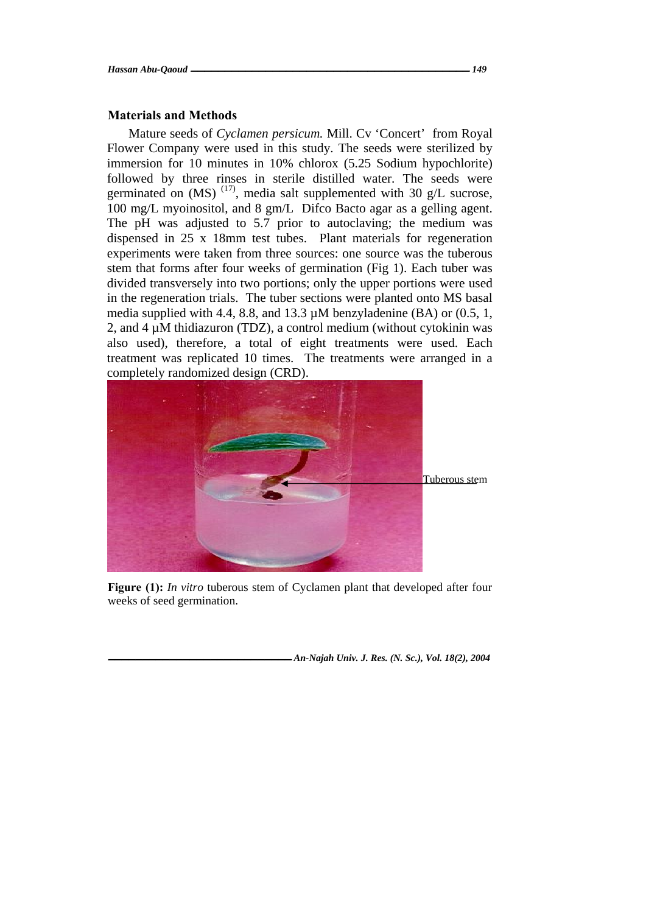### **Materials and Methods**

Mature seeds of *Cyclamen persicum.* Mill. Cv 'Concert' from Royal Flower Company were used in this study. The seeds were sterilized by immersion for 10 minutes in 10% chlorox (5.25 Sodium hypochlorite) followed by three rinses in sterile distilled water. The seeds were germinated on  $(MS)$  (17), media salt supplemented with 30 g/L sucrose, 100 mg/L myoinositol, and 8 gm/L Difco Bacto agar as a gelling agent. The pH was adjusted to 5.7 prior to autoclaving; the medium was dispensed in 25 x 18mm test tubes. Plant materials for regeneration experiments were taken from three sources: one source was the tuberous stem that forms after four weeks of germination (Fig 1). Each tuber was divided transversely into two portions; only the upper portions were used in the regeneration trials. The tuber sections were planted onto MS basal media supplied with 4.4, 8.8, and 13.3  $\mu$ M benzyladenine (BA) or (0.5, 1, 2, and 4  $\mu$ M thidiazuron (TDZ), a control medium (without cytokinin was also used), therefore, a total of eight treatments were used. Each treatment was replicated 10 times. The treatments were arranged in a completely randomized design (CRD).



**Figure (1):** *In vitro* tuberous stem of Cyclamen plant that developed after four weeks of seed germination.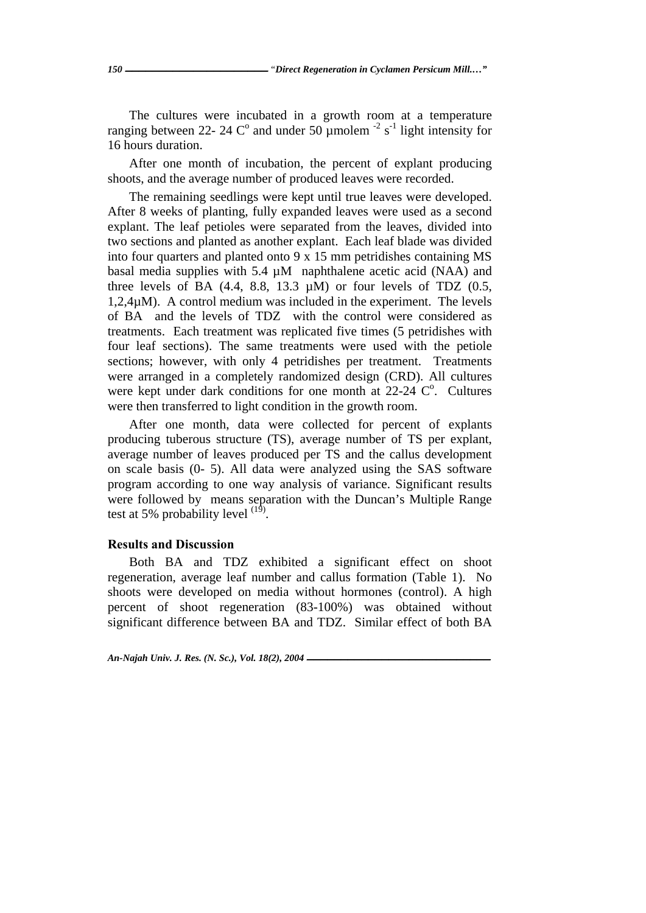The cultures were incubated in a growth room at a temperature ranging between 22- 24  $\mathbb{C}^{\circ}$  and under 50 µmolem  $^{-2}$  s<sup>-1</sup> light intensity for 16 hours duration.

After one month of incubation, the percent of explant producing shoots, and the average number of produced leaves were recorded.

 The remaining seedlings were kept until true leaves were developed. After 8 weeks of planting, fully expanded leaves were used as a second explant. The leaf petioles were separated from the leaves, divided into two sections and planted as another explant. Each leaf blade was divided into four quarters and planted onto 9 x 15 mm petridishes containing MS basal media supplies with  $5.4 \mu M$  naphthalene acetic acid (NAA) and three levels of BA  $(4.4, 8.8, 13.3 \mu M)$  or four levels of TDZ  $(0.5,$  $1,2,4\mu$ M). A control medium was included in the experiment. The levels of BA and the levels of TDZ with the control were considered as treatments. Each treatment was replicated five times (5 petridishes with four leaf sections). The same treatments were used with the petiole sections; however, with only 4 petridishes per treatment. Treatments were arranged in a completely randomized design (CRD). All cultures were kept under dark conditions for one month at  $22-24$  C°. Cultures were then transferred to light condition in the growth room.

 After one month, data were collected for percent of explants producing tuberous structure (TS), average number of TS per explant, average number of leaves produced per TS and the callus development on scale basis (0- 5). All data were analyzed using the SAS software program according to one way analysis of variance. Significant results were followed by means separation with the Duncan's Multiple Range test at 5% probability level  $^{(19)}$ .

#### **Results and Discussion**

Both BA and TDZ exhibited a significant effect on shoot regeneration, average leaf number and callus formation (Table 1). No shoots were developed on media without hormones (control). A high percent of shoot regeneration (83-100%) was obtained without significant difference between BA and TDZ. Similar effect of both BA

*An-Najah Univ. J. Res. (N. Sc.), Vol. 18(2), 2004* **ـــــــــــــــــــــــــــ**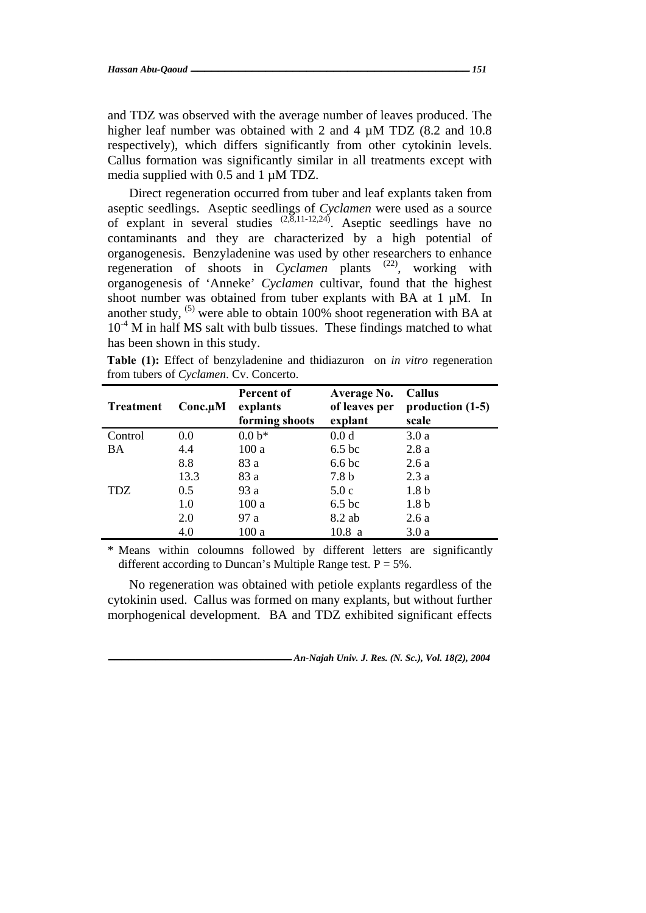and TDZ was observed with the average number of leaves produced. The higher leaf number was obtained with 2 and 4  $\mu$ M TDZ (8.2 and 10.8) respectively), which differs significantly from other cytokinin levels. Callus formation was significantly similar in all treatments except with media supplied with 0.5 and 1 µM TDZ.

Direct regeneration occurred from tuber and leaf explants taken from aseptic seedlings. Aseptic seedlings of *Cyclamen* were used as a source of explant in several studies  $(2,8,11-12,24)$ . Aseptic seedlings have no contaminants and they are characterized by a high potential of organogenesis. Benzyladenine was used by other researchers to enhance regeneration of shoots in *Cyclamen* plants <sup>(22)</sup>, working with organogenesis of 'Anneke' *Cyclamen* cultivar, found that the highest shoot number was obtained from tuber explants with BA at 1 µM. In another study,  $(5)$  were able to obtain 100% shoot regeneration with BA at  $10^{-4}$  M in half MS salt with bulb tissues. These findings matched to what has been shown in this study.

**Table (1):** Effect of benzyladenine and thidiazuron on *in vitro* regeneration from tubers of *Cyclamen*. Cv. Concerto.

| <b>Treatment</b> | $Conc.\mu M$ | Percent of<br>explants<br>forming shoots | Average No.<br>of leaves per<br>explant | Callus<br>production $(1-5)$<br>scale |
|------------------|--------------|------------------------------------------|-----------------------------------------|---------------------------------------|
| Control          | 0.0          | $0.0 b*$                                 | 0.0 <sub>d</sub>                        | 3.0a                                  |
| BA               | 4.4          | 100a                                     | 6.5 <sub>bc</sub>                       | 2.8a                                  |
|                  | 8.8          | 83 a                                     | 6.6 <sub>bc</sub>                       | 2.6a                                  |
| <b>TDZ</b>       | 13.3         | 83 a                                     | 7.8 <sub>b</sub>                        | 2.3a                                  |
|                  | 0.5          | 93 a                                     | 5.0c                                    | 1.8 <sub>b</sub>                      |
|                  | 1.0          | 100a                                     | 6.5 <sub>bc</sub>                       | 1.8 <sub>b</sub>                      |
|                  | 2.0          | 97a                                      | 8.2 ab                                  | 2.6a                                  |
|                  | 4.0          | 100a                                     | 10.8a                                   | 3.0a                                  |

\* Means within coloumns followed by different letters are significantly different according to Duncan's Multiple Range test.  $P = 5\%$ .

No regeneration was obtained with petiole explants regardless of the cytokinin used. Callus was formed on many explants, but without further morphogenical development. BA and TDZ exhibited significant effects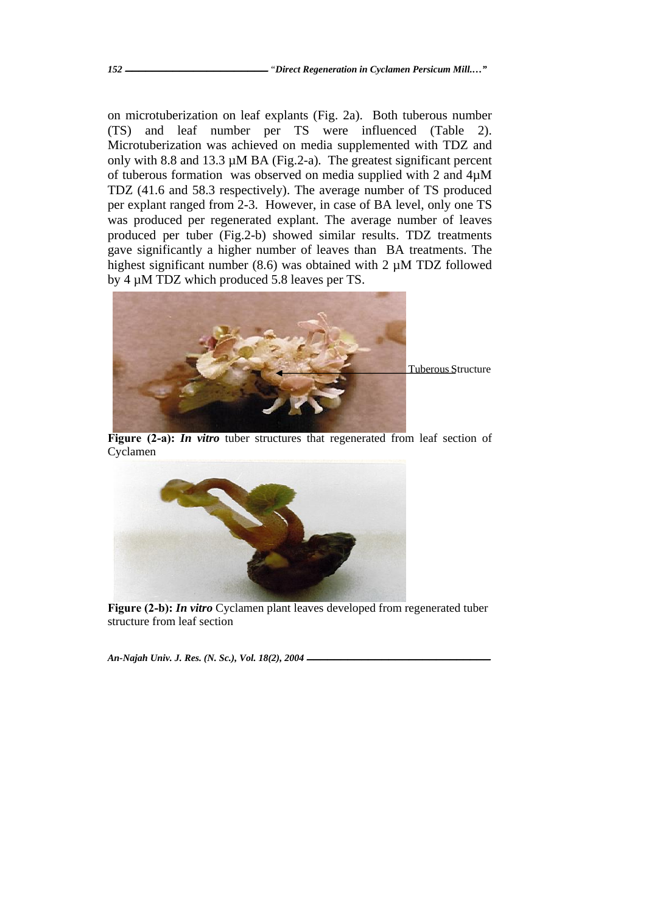on microtuberization on leaf explants (Fig. 2a). Both tuberous number (TS) and leaf number per TS were influenced (Table 2). Microtuberization was achieved on media supplemented with TDZ and only with 8.8 and 13.3  $\mu$ M BA (Fig.2-a). The greatest significant percent of tuberous formation was observed on media supplied with 2 and 4µM TDZ (41.6 and 58.3 respectively). The average number of TS produced per explant ranged from 2-3. However, in case of BA level, only one TS was produced per regenerated explant. The average number of leaves produced per tuber (Fig.2-b) showed similar results. TDZ treatments gave significantly a higher number of leaves than BA treatments. The highest significant number (8.6) was obtained with 2  $\mu$ M TDZ followed by 4 µM TDZ which produced 5.8 leaves per TS.



**Figure (2-a):** *In vitro* tuber structures that regenerated from leaf section of Cyclamen



**Figure (2-b):** *In vitro* Cyclamen plant leaves developed from regenerated tuber structure from leaf section

*An-Najah Univ. J. Res. (N. Sc.), Vol. 18(2), 2004* **ـــــــــــــــــــــــــــ**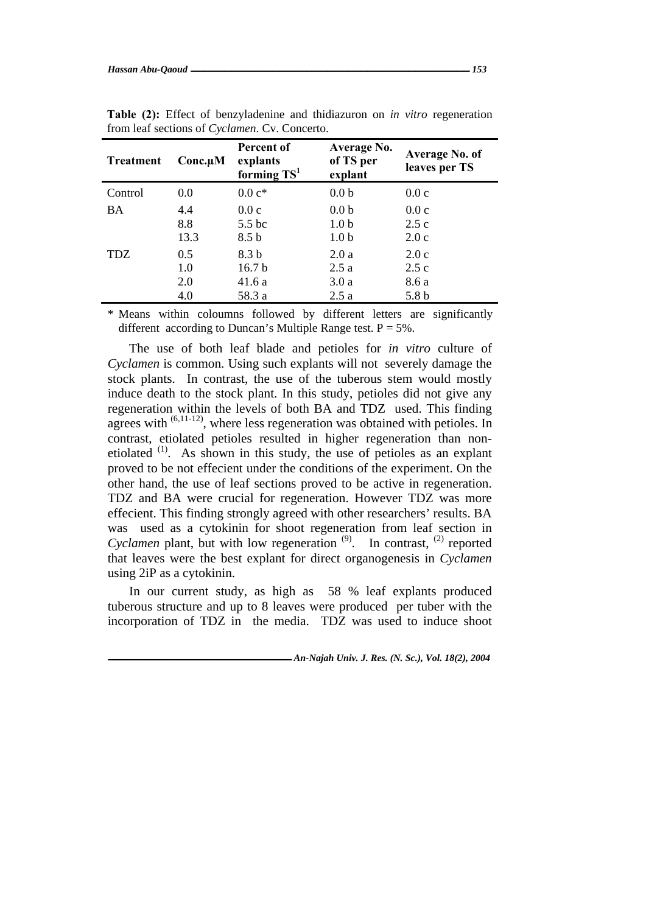| <b>Treatment</b> | $Conc.\mu M$ | Percent of<br>explants<br>forming $TS1$ | Average No.<br>of TS per<br>explant | Average No. of<br>leaves per TS |
|------------------|--------------|-----------------------------------------|-------------------------------------|---------------------------------|
| Control          | 0.0          | $0.0 c*$                                | 0.0 <sub>b</sub>                    | 0.0c                            |
| BA               | 4.4          | 0.0c                                    | 0.0 <sub>b</sub>                    | 0.0c                            |
|                  | 8.8          | 5.5 bc                                  | 1.0 <sub>b</sub>                    | 2.5c                            |
|                  | 13.3         | 8.5 <sub>b</sub>                        | 1.0 <sub>b</sub>                    | 2.0c                            |
| <b>TDZ</b>       | 0.5          | 8.3 b                                   | 2.0a                                | 2.0c                            |
|                  | 1.0          | 16.7 <sub>b</sub>                       | 2.5a                                | 2.5c                            |
|                  | 2.0          | 41.6 a                                  | 3.0a                                | 8.6 a                           |
|                  | 4.0          | 58.3 a                                  | 2.5a                                | 5.8 b                           |

**Table (2):** Effect of benzyladenine and thidiazuron on *in vitro* regeneration from leaf sections of *Cyclamen*. Cv. Concerto.

\* Means within coloumns followed by different letters are significantly different according to Duncan's Multiple Range test.  $P = 5\%$ .

The use of both leaf blade and petioles for *in vitro* culture of *Cyclamen* is common. Using such explants will not severely damage the stock plants. In contrast, the use of the tuberous stem would mostly induce death to the stock plant. In this study, petioles did not give any regeneration within the levels of both BA and TDZ used. This finding agrees with  $(6,11-12)$ , where less regeneration was obtained with petioles. In contrast, etiolated petioles resulted in higher regeneration than nonetiolated  $(1)$ . As shown in this study, the use of petioles as an explant proved to be not effecient under the conditions of the experiment. On the other hand, the use of leaf sections proved to be active in regeneration. TDZ and BA were crucial for regeneration. However TDZ was more effecient. This finding strongly agreed with other researchers' results. BA was used as a cytokinin for shoot regeneration from leaf section in *Cyclamen* plant, but with low regeneration  $(9)$ . In contrast,  $(2)$  reported that leaves were the best explant for direct organogenesis in *Cyclamen* using 2iP as a cytokinin.

In our current study, as high as 58 % leaf explants produced tuberous structure and up to 8 leaves were produced per tuber with the incorporation of TDZ in the media. TDZ was used to induce shoot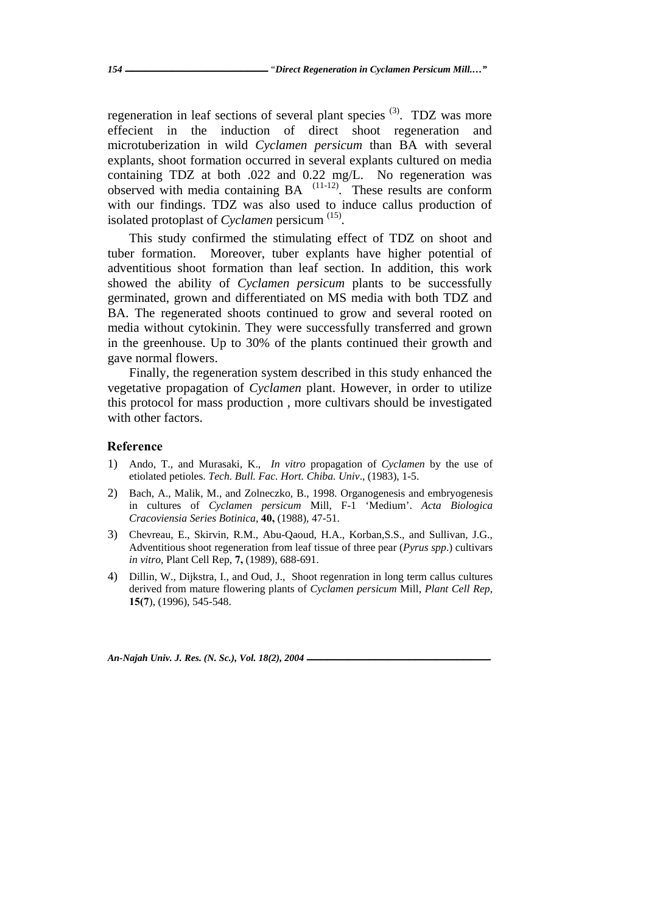regeneration in leaf sections of several plant species  $(3)$ . TDZ was more effecient in the induction of direct shoot regeneration and microtuberization in wild *Cyclamen persicum* than BA with several explants, shoot formation occurred in several explants cultured on media containing TDZ at both .022 and 0.22 mg/L. No regeneration was  $\alpha$  observed with media containing  $BA$ <sup> $(11-12)$ </sup>. These results are conform with our findings. TDZ was also used to induce callus production of isolated protoplast of *Cyclamen* persicum (15).

This study confirmed the stimulating effect of TDZ on shoot and tuber formation. Moreover, tuber explants have higher potential of adventitious shoot formation than leaf section. In addition, this work showed the ability of *Cyclamen persicum* plants to be successfully germinated, grown and differentiated on MS media with both TDZ and BA. The regenerated shoots continued to grow and several rooted on media without cytokinin. They were successfully transferred and grown in the greenhouse. Up to 30% of the plants continued their growth and gave normal flowers.

Finally, the regeneration system described in this study enhanced the vegetative propagation of *Cyclamen* plant. However, in order to utilize this protocol for mass production , more cultivars should be investigated with other factors.

### **Reference**

- 1) Ando, T., and Murasaki, K., *In vitro* propagation of *Cyclamen* by the use of etiolated petioles. *Tech. Bull. Fac. Hort. Chiba. Univ*., (1983), 1-5.
- 2) Bach, A., Malik, M., and Zolneczko, B., 1998. Organogenesis and embryogenesis in cultures of *Cyclamen persicum* Mill, F-1 'Medium'. *Acta Biologica Cracoviensia Series Botinica*, **40,** (1988), 47-51.
- 3) Chevreau, E., Skirvin, R.M., Abu-Qaoud, H.A., Korban,S.S., and Sullivan, J.G., Adventitious shoot regeneration from leaf tissue of three pear (*Pyrus spp*.) cultivars *in vitro*, Plant Cell Rep, **7,** (1989), 688-691.
- 4) Dillin, W., Dijkstra, I., and Oud, J., Shoot regenration in long term callus cultures derived from mature flowering plants of *Cyclamen persicum* Mill, *Plant Cell Rep*, **15(7**), (1996), 545-548.

*An-Najah Univ. J. Res. (N. Sc.), Vol. 18(2), 2004*  $-$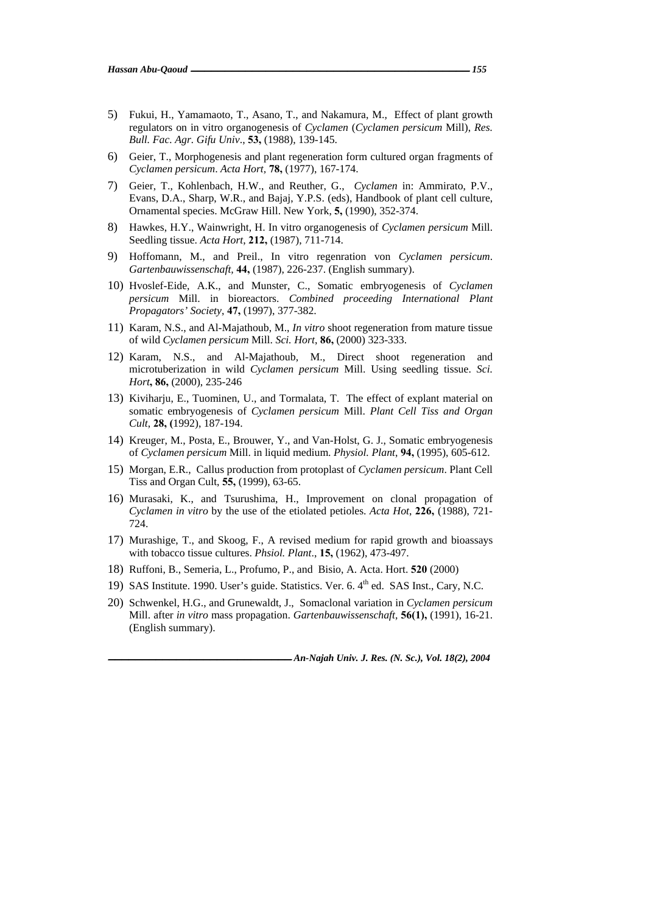- 5) Fukui, H., Yamamaoto, T., Asano, T., and Nakamura, M., Effect of plant growth regulators on in vitro organogenesis of *Cyclamen* (*Cyclamen persicum* Mill), *Res. Bull. Fac. Agr. Gifu Univ*., **53,** (1988), 139-145.
- 6) Geier, T., Morphogenesis and plant regeneration form cultured organ fragments of *Cyclamen persicum*. *Acta Hort,* **78,** (1977), 167-174.
- 7) Geier, T., Kohlenbach, H.W., and Reuther, G., *Cyclamen* in: Ammirato, P.V., Evans, D.A., Sharp, W.R., and Bajaj, Y.P.S. (eds), Handbook of plant cell culture, Ornamental species. McGraw Hill. New York, **5,** (1990), 352-374.
- 8) Hawkes, H.Y., Wainwright, H. In vitro organogenesis of *Cyclamen persicum* Mill. Seedling tissue. *Acta Hort*, **212,** (1987), 711-714.
- 9) Hoffomann, M., and Preil., In vitro regenration von *Cyclamen persicum*. *Gartenbauwissenschaft,* **44,** (1987), 226-237. (English summary).
- 10) Hvoslef-Eide, A.K., and Munster, C., Somatic embryogenesis of *Cyclamen persicum* Mill. in bioreactors. *Combined proceeding International Plant Propagators' Society*, **47,** (1997), 377-382.
- 11) Karam, N.S., and Al-Majathoub, M., *In vitro* shoot regeneration from mature tissue of wild *Cyclamen persicum* Mill. *Sci. Hort*, **86,** (2000) 323-333.
- 12) Karam, N.S., and Al-Majathoub, M., Direct shoot regeneration and microtuberization in wild *Cyclamen persicum* Mill. Using seedling tissue. *Sci. Hort***, 86,** (2000), 235-246
- 13) Kiviharju, E., Tuominen, U., and Tormalata, T. The effect of explant material on somatic embryogenesis of *Cyclamen persicum* Mill. *Plant Cell Tiss and Organ Cult*, **28, (**1992), 187-194.
- 14) Kreuger, M., Posta, E., Brouwer, Y., and Van-Holst, G. J., Somatic embryogenesis of *Cyclamen persicum* Mill. in liquid medium. *Physiol. Plant*, **94,** (1995), 605-612.
- 15) Morgan, E.R., Callus production from protoplast of *Cyclamen persicum*. Plant Cell Tiss and Organ Cult, **55,** (1999), 63-65.
- 16) Murasaki, K., and Tsurushima, H., Improvement on clonal propagation of *Cyclamen in vitro* by the use of the etiolated petioles. *Acta Hot*, **226,** (1988), 721- 724.
- 17) Murashige, T., and Skoog, F., A revised medium for rapid growth and bioassays with tobacco tissue cultures. *Phsiol. Plant*., **15,** (1962), 473-497.
- 18) Ruffoni, B., Semeria, L., Profumo, P., and Bisio, A. Acta. Hort. **520** (2000)
- 19) SAS Institute. 1990. User's guide. Statistics. Ver. 6. 4<sup>th</sup> ed. SAS Inst., Cary, N.C.
- 20) Schwenkel, H.G., and Grunewaldt, J., Somaclonal variation in *Cyclamen persicum* Mill. after *in vitro* mass propagation. *Gartenbauwissenschaft,* **56(1),** (1991), 16-21. (English summary).